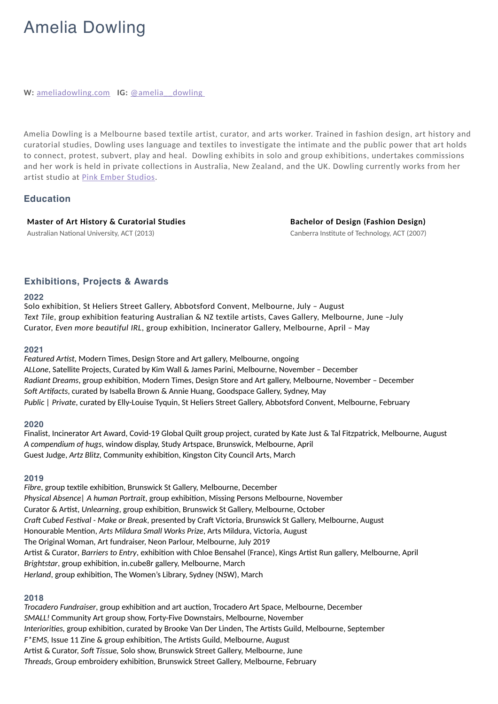# Amelia Dowling

**W:** <u>[ameliadowling.com](https://ameliadowling.com/)</u> **IG:** @amelia dowling

Amelia Dowling is a Melbourne based textile artist, curator, and arts worker. Trained in fashion design, art history and curatorial studies, Dowling uses language and textiles to investigate the intimate and the public power that art holds to connect, protest, subvert, play and heal. Dowling exhibits in solo and group exhibitions, undertakes commissions and her work is held in private collections in Australia, New Zealand, and the UK. Dowling currently works from her artist studio at [Pink Ember Studios](https://www.pinkemberstudio.com/).

# **Education**

**Master of Art History & Curatorial Studies** Australian National University, ACT (2013)

**Bachelor of Design (Fashion Design)** Canberra Institute of Technology, ACT (2007)

# **Exhibitions, Projects & Awards**

#### **2022**

Solo exhibition, St Heliers Street Gallery, Abbotsford Convent, Melbourne, July – August *Text Tile*, group exhibition featuring Australian & NZ textile artists, Caves Gallery, Melbourne, June –July Curator, *Even more beautiful IRL*, group exhibition, Incinerator Gallery, Melbourne, April – May

#### **2021**

*Featured Artist,* Modern Times, Design Store and Art gallery, Melbourne, ongoing *ALLone*, Satellite Projects, Curated by Kim Wall & James Parini, Melbourne, November – December *Radiant Dreams*, group exhibition, Modern Times, Design Store and Art gallery, Melbourne, November – December *Soft Artifacts*, curated by Isabella Brown & Annie Huang, Goodspace Gallery, Sydney, May *Public | Private*, curated by Elly-Louise Tyquin, St Heliers Street Gallery, Abbotsford Convent, Melbourne, February

## **2020**

Finalist, Incinerator Art Award, Covid-19 Global Quilt group project, curated by Kate Just & Tal Fitzpatrick, Melbourne, August *A compendium of hugs,* window display, Study Artspace, Brunswick, Melbourne, April Guest Judge, *Artz Blitz,* Community exhibition, Kingston City Council Arts, March

#### **2019**

*Fibre*, group textile exhibition, Brunswick St Gallery, Melbourne, December *Physical Absence| A human Portrait*, group exhibition, Missing Persons Melbourne, November Curator & Artist, *Unlearning*, group exhibition, Brunswick St Gallery, Melbourne, October *Craft Cubed Festival - Make or Break*, presented by Craft Victoria, Brunswick St Gallery, Melbourne, August Honourable Mention, *Arts Mildura Small Works Prize*, Arts Mildura, Victoria, August The Original Woman, Art fundraiser, Neon Parlour, Melbourne, July 2019 Artist & Curator*, Barriers to Entry*, exhibition with Chloe Bensahel (France), Kings Artist Run gallery, Melbourne, April *Brightstar*, group exhibition, in.cube8r gallery, Melbourne, March *Herland*, group exhibition, The Women's Library, Sydney (NSW), March

## **2018**

*Trocadero Fundraiser*, group exhibition and art auction, Trocadero Art Space, Melbourne, December *SMALL!* Community Art group show, Forty-Five Downstairs, Melbourne, November *Interiorities,* group exhibition, curated by Brooke Van Der Linden, The Artists Guild, Melbourne, September *F\*EMS,* Issue 11 Zine & group exhibition, The Artists Guild, Melbourne, August Artist & Curator, *Soft Tissue,* Solo show, Brunswick Street Gallery, Melbourne, June *Threads,* Group embroidery exhibition, Brunswick Street Gallery, Melbourne, February